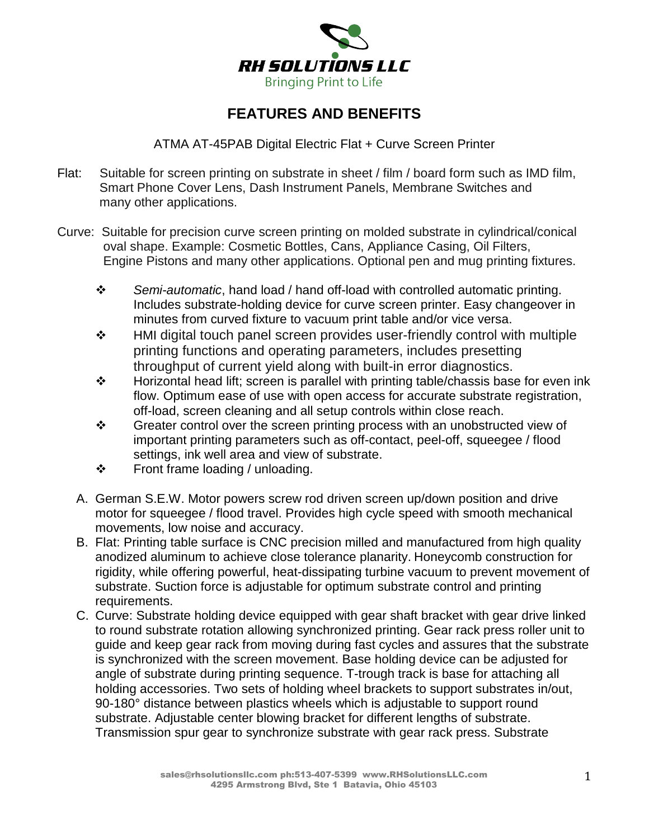

## **FEATURES AND BENEFITS**

ATMA AT-45PAB Digital Electric Flat + Curve Screen Printer

- Flat: Suitable for screen printing on substrate in sheet / film / board form such as IMD film, Smart Phone Cover Lens, Dash Instrument Panels, Membrane Switches and many other applications.
- Curve: Suitable for precision curve screen printing on molded substrate in cylindrical/conical oval shape. Example: Cosmetic Bottles, Cans, Appliance Casing, Oil Filters, Engine Pistons and many other applications. Optional pen and mug printing fixtures.
	- *Semi-automatic*, hand load / hand off-load with controlled automatic printing. Includes substrate-holding device for curve screen printer. Easy changeover in minutes from curved fixture to vacuum print table and/or vice versa.
	- HMI digital touch panel screen provides user-friendly control with multiple printing functions and operating parameters, includes presetting throughput of current yield along with built-in error diagnostics.
	- $\cdot \cdot$  Horizontal head lift; screen is parallel with printing table/chassis base for even ink flow. Optimum ease of use with open access for accurate substrate registration, off-load, screen cleaning and all setup controls within close reach.
	- $\div$  Greater control over the screen printing process with an unobstructed view of important printing parameters such as off-contact, peel-off, squeegee / flood settings, ink well area and view of substrate.
	- Front frame loading / unloading.
	- A. German S.E.W. Motor powers screw rod driven screen up/down position and drive motor for squeegee / flood travel. Provides high cycle speed with smooth mechanical movements, low noise and accuracy.
	- B. Flat: Printing table surface is CNC precision milled and manufactured from high quality anodized aluminum to achieve close tolerance planarity. Honeycomb construction for rigidity, while offering powerful, heat-dissipating turbine vacuum to prevent movement of substrate. Suction force is adjustable for optimum substrate control and printing requirements.
	- C. Curve: Substrate holding device equipped with gear shaft bracket with gear drive linked to round substrate rotation allowing synchronized printing. Gear rack press roller unit to guide and keep gear rack from moving during fast cycles and assures that the substrate is synchronized with the screen movement. Base holding device can be adjusted for angle of substrate during printing sequence. T-trough track is base for attaching all holding accessories. Two sets of holding wheel brackets to support substrates in/out, 90-180° distance between plastics wheels which is adjustable to support round substrate. Adjustable center blowing bracket for different lengths of substrate. Transmission spur gear to synchronize substrate with gear rack press. Substrate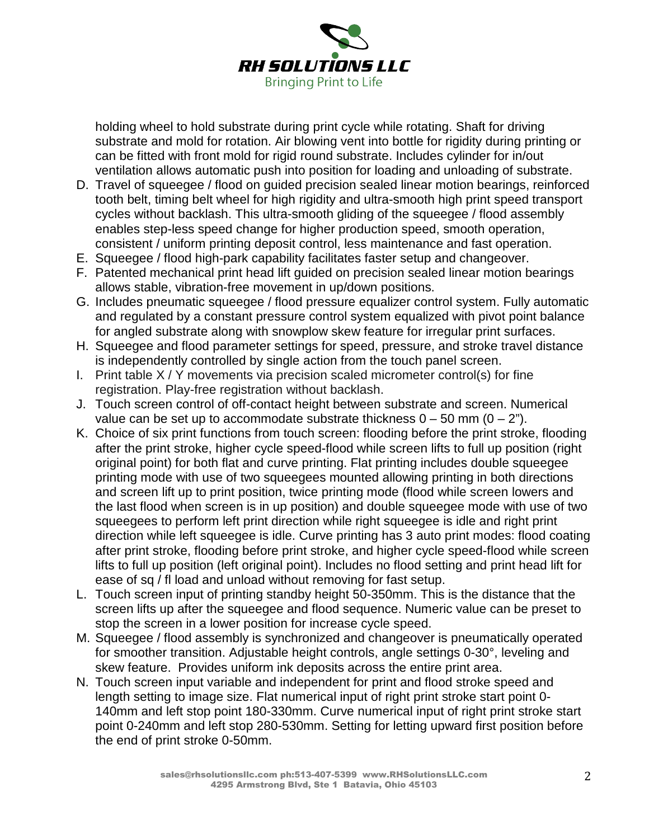

holding wheel to hold substrate during print cycle while rotating. Shaft for driving substrate and mold for rotation. Air blowing vent into bottle for rigidity during printing or can be fitted with front mold for rigid round substrate. Includes cylinder for in/out ventilation allows automatic push into position for loading and unloading of substrate.

- D. Travel of squeegee / flood on guided precision sealed linear motion bearings, reinforced tooth belt, timing belt wheel for high rigidity and ultra-smooth high print speed transport cycles without backlash. This ultra-smooth gliding of the squeegee / flood assembly enables step-less speed change for higher production speed, smooth operation, consistent / uniform printing deposit control, less maintenance and fast operation.
- E. Squeegee / flood high-park capability facilitates faster setup and changeover.
- F. Patented mechanical print head lift guided on precision sealed linear motion bearings allows stable, vibration-free movement in up/down positions.
- G. Includes pneumatic squeegee / flood pressure equalizer control system. Fully automatic and regulated by a constant pressure control system equalized with pivot point balance for angled substrate along with snowplow skew feature for irregular print surfaces.
- H. Squeegee and flood parameter settings for speed, pressure, and stroke travel distance is independently controlled by single action from the touch panel screen.
- I. Print table X / Y movements via precision scaled micrometer control(s) for fine registration. Play-free registration without backlash.
- J. Touch screen control of off-contact height between substrate and screen. Numerical value can be set up to accommodate substrate thickness  $0 - 50$  mm  $(0 - 2<sup>n</sup>)$ .
- K. Choice of six print functions from touch screen: flooding before the print stroke, flooding after the print stroke, higher cycle speed-flood while screen lifts to full up position (right original point) for both flat and curve printing. Flat printing includes double squeegee printing mode with use of two squeegees mounted allowing printing in both directions and screen lift up to print position, twice printing mode (flood while screen lowers and the last flood when screen is in up position) and double squeegee mode with use of two squeegees to perform left print direction while right squeegee is idle and right print direction while left squeegee is idle. Curve printing has 3 auto print modes: flood coating after print stroke, flooding before print stroke, and higher cycle speed-flood while screen lifts to full up position (left original point). Includes no flood setting and print head lift for ease of sq / fl load and unload without removing for fast setup.
- L. Touch screen input of printing standby height 50-350mm. This is the distance that the screen lifts up after the squeegee and flood sequence. Numeric value can be preset to stop the screen in a lower position for increase cycle speed.
- M. Squeegee / flood assembly is synchronized and changeover is pneumatically operated for smoother transition. Adjustable height controls, angle settings 0-30°, leveling and skew feature. Provides uniform ink deposits across the entire print area.
- N. Touch screen input variable and independent for print and flood stroke speed and length setting to image size. Flat numerical input of right print stroke start point 0- 140mm and left stop point 180-330mm. Curve numerical input of right print stroke start point 0-240mm and left stop 280-530mm. Setting for letting upward first position before the end of print stroke 0-50mm.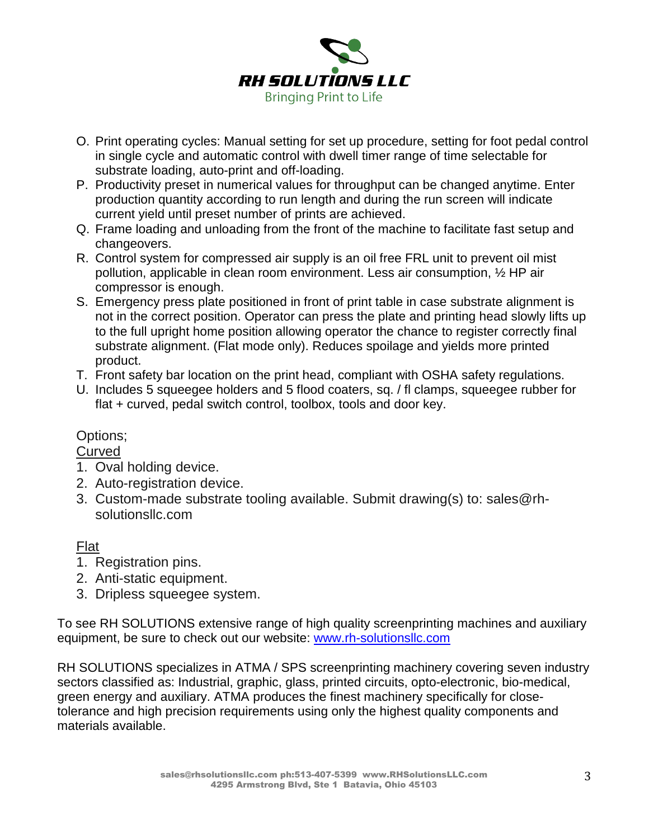

- O. Print operating cycles: Manual setting for set up procedure, setting for foot pedal control in single cycle and automatic control with dwell timer range of time selectable for substrate loading, auto-print and off-loading.
- P. Productivity preset in numerical values for throughput can be changed anytime. Enter production quantity according to run length and during the run screen will indicate current yield until preset number of prints are achieved.
- Q. Frame loading and unloading from the front of the machine to facilitate fast setup and changeovers.
- R. Control system for compressed air supply is an oil free FRL unit to prevent oil mist pollution, applicable in clean room environment. Less air consumption, ½ HP air compressor is enough.
- S. Emergency press plate positioned in front of print table in case substrate alignment is not in the correct position. Operator can press the plate and printing head slowly lifts up to the full upright home position allowing operator the chance to register correctly final substrate alignment. (Flat mode only). Reduces spoilage and yields more printed product.
- T. Front safety bar location on the print head, compliant with OSHA safety regulations.
- U. Includes 5 squeegee holders and 5 flood coaters, sq. / fl clamps, squeegee rubber for flat + curved, pedal switch control, toolbox, tools and door key.

## Options;

Curved

- 1. Oval holding device.
- 2. Auto-registration device.
- 3. Custom-made substrate tooling available. Submit drawing(s) to: sales@rhsolutionsllc.com

## Flat

- 1. Registration pins.
- 2. Anti-static equipment.
- 3. Dripless squeegee system.

To see RH SOLUTIONS extensive range of high quality screenprinting machines and auxiliary equipment, be sure to check out our website: [www.rh-solutionsllc.com](http://www.rh-solutionsllc.com/)

RH SOLUTIONS specializes in ATMA / SPS screenprinting machinery covering seven industry sectors classified as: Industrial, graphic, glass, printed circuits, opto-electronic, bio-medical, green energy and auxiliary. ATMA produces the finest machinery specifically for closetolerance and high precision requirements using only the highest quality components and materials available.